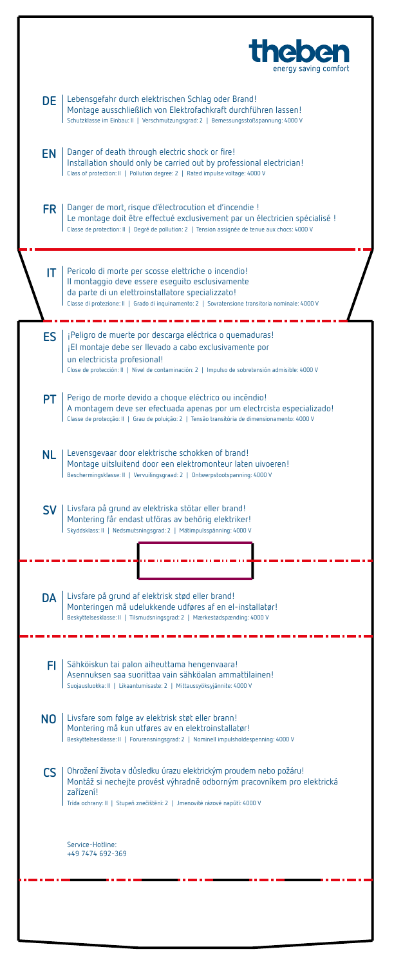|           | <b>the</b><br>energy saving comfort                                                                                                                                                                                                                              |
|-----------|------------------------------------------------------------------------------------------------------------------------------------------------------------------------------------------------------------------------------------------------------------------|
|           | DE   Lebensgefahr durch elektrischen Schlag oder Brand!<br>Montage ausschließlich von Elektrofachkraft durchführen lassen!<br>Schutzklasse im Einbau: II   Verschmutzungsgrad: 2   Bemessungsstoßspannung: 4000 V                                                |
|           | <b>EN</b>   Danger of death through electric shock or fire!<br>Installation should only be carried out by professional electrician!<br>  Class of protection: II   Pollution degree: 2   Rated impulse voltage: 4000 V                                           |
| FR.       | Danger de mort, risque d'électrocution et d'incendie !<br>Le montage doit être effectué exclusivement par un électricien spécialisé !<br>Classe de protection: II   Degré de pollution: 2   Tension assignée de tenue aux chocs: 4000 V                          |
| IT.       | Pericolo di morte per scosse elettriche o incendio!<br>Il montaggio deve essere eseguito esclusivamente<br>da parte di un elettroinstallatore specializzato!<br>Classe di protezione: Il   Grado di inquinamento: 2   Sovratensione transitoria nominale: 4000 V |
| ES I      | ¡Peligro de muerte por descarga eléctrica o quemaduras!<br>¡El montaje debe ser llevado a cabo exclusivamente por<br>un electricista profesional!<br>Close de protección: II   Nivel de contaminación: 2   Impulso de sobretensión admisible: 4000 V             |
| PT I      | Perigo de morte devido a choque eléctrico ou incêndio!<br>A montagem deve ser efectuada apenas por um electrcista especializado!<br>Classe de protecção: II   Grau de poluição: 2   Tensão transitória de dimensionamento: 4000 V                                |
|           | NL   Levensgevaar door elektrische schokken of brand!<br>Montage uitsluitend door een elektromonteur laten uivoeren!<br>Beschermingsklasse: II   Vervuilingsgraad: 2   Ontwerpstootspanning: 4000 V                                                              |
|           | SV   Livsfara på grund av elektriska stötar eller brand!<br>Montering får endast utföras av behörig elektriker!<br>Skyddsklass: II   Nedsmutsningsgrad: 2   Mätimpulsspänning: 4000 V                                                                            |
|           |                                                                                                                                                                                                                                                                  |
| DA        | Livsfare på grund af elektrisk stød eller brand!<br>Monteringen må udelukkende udføres af en el-installatør!<br>Beskyttelsesklasse: II   Tilsmudsningsgrad: 2   Mærkestødspænding: 4000 V                                                                        |
| FI.       | Sähköiskun tai palon aiheuttama hengenvaara!<br>Asennuksen saa suorittaa vain sähköalan ammattilainen!<br>Suojausluokka: II   Likaantumisaste: 2   Mittaussyöksyjännite: 4000 V                                                                                  |
| NO.       | Livsfare som følge av elektrisk støt eller brann!<br>Montering må kun utføres av en elektroinstallatør!<br>Beskyttelsesklasse: II   Forurensningsgrad: 2   Nominell impulsholdespenning: 4000 V                                                                  |
| <b>CS</b> | Dhrožení života v důsledku úrazu elektrickým proudem nebo požáru!<br>Montáž si nechejte provést výhradně odborným pracovníkem pro elektrická<br>zařízení!<br>Trída ochrany: II   Stupeň znečištění: 2   Jmenovité rázové napůtí: 4000 V                          |
|           | Service-Hotline:<br>+49 7474 692-369                                                                                                                                                                                                                             |
|           |                                                                                                                                                                                                                                                                  |
|           |                                                                                                                                                                                                                                                                  |